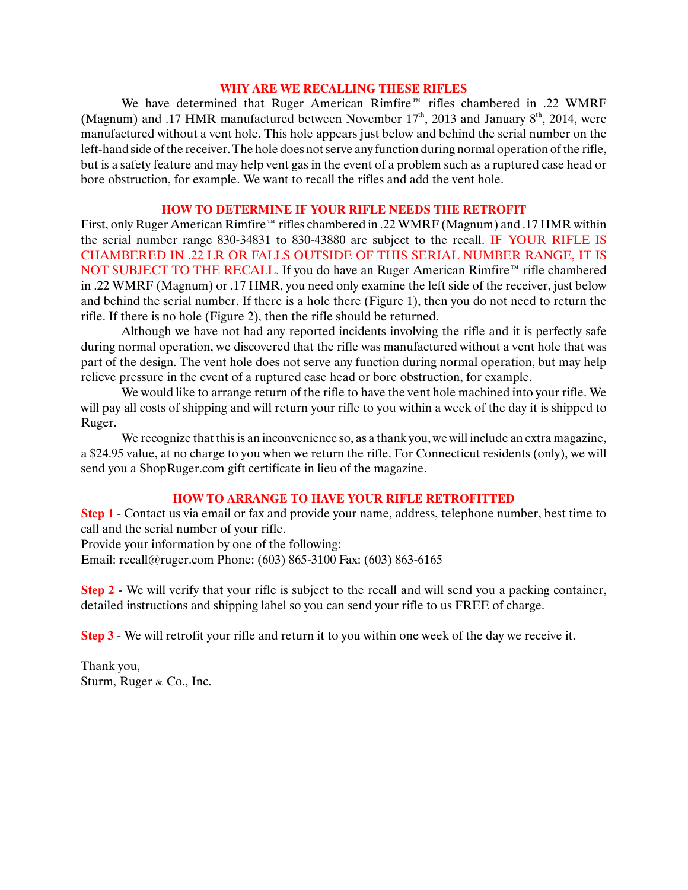### **WHY ARE WE RECALLING THESE RIFLES**

We have determined that Ruger American Rimfire™ rifles chambered in .22 WMRF (Magnum) and .17 HMR manufactured between November  $17<sup>th</sup>$ , 2013 and January  $8<sup>th</sup>$ , 2014, were manufactured without a vent hole. This hole appears just below and behind the serial number on the left-hand side of the receiver. The hole does not serve any function during normal operation of the rifle, but is a safety feature and may help vent gas in the event of a problem such as a ruptured case head or bore obstruction, for example. We want to recall the rifles and add the vent hole.

### **HOW TO DETERMINE IF YOUR RIFLE NEEDS THE RETROFIT**

First, only Ruger American Rimfire™ rifles chambered in .22 WMRF (Magnum) and .17 HMR within the serial number range 830-34831 to 830-43880 are subject to the recall. IF YOUR RIFLE IS CHAMBERED IN .22 LR OR FALLS OUTSIDE OF THIS SERIAL NUMBER RANGE, IT IS NOT SUBJECT TO THE RECALL. If you do have an Ruger American Rimfire™ rifle chambered in .22 WMRF (Magnum) or .17 HMR, you need only examine the left side of the receiver, just below and behind the serial number. If there is a hole there (Figure 1), then you do not need to return the rifle. If there is no hole (Figure 2), then the rifle should be returned.

Although we have not had any reported incidents involving the rifle and it is perfectly safe during normal operation, we discovered that the rifle was manufactured without a vent hole that was part of the design. The vent hole does not serve any function during normal operation, but may help relieve pressure in the event of a ruptured case head or bore obstruction, for example.

We would like to arrange return of the rifle to have the vent hole machined into your rifle. We will pay all costs of shipping and will return your rifle to you within a week of the day it is shipped to Ruger.

We recognize that this is an inconvenience so, as a thank you, we will include an extra magazine, a \$24.95 value, at no charge to you when we return the rifle. For Connecticut residents (only), we will send you a ShopRuger.com gift certificate in lieu of the magazine.

# **HOW TO ARRANGE TO HAVE YOUR RIFLE RETROFITTED**

**Step 1** - Contact us via email or fax and provide your name, address, telephone number, best time to call and the serial number of your rifle.

Provide your information by one of the following:

Email: recall@ruger.com Phone: (603) 865-3100 Fax: (603) 863-6165

**Step 2** - We will verify that your rifle is subject to the recall and will send you a packing container, detailed instructions and shipping label so you can send your rifle to us FREE of charge.

**Step 3** - We will retrofit your rifle and return it to you within one week of the day we receive it.

Thank you, Sturm, Ruger & Co., Inc.